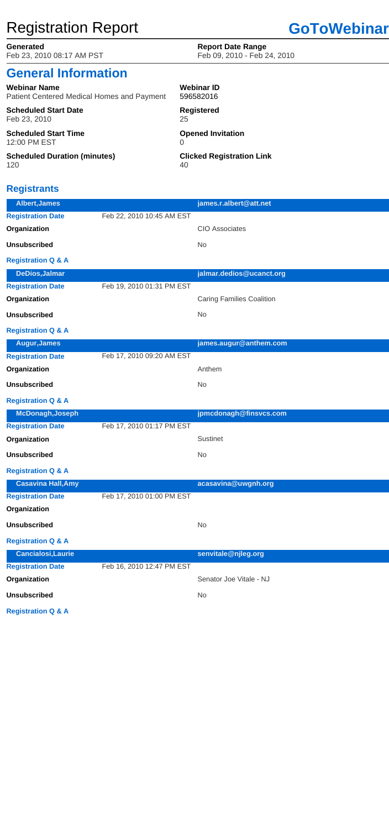# Registration Report **GoToWebinar**

Feb 23, 2010 08:17 AM PST Feb 09, 2010 - Feb 24, 2010

### **Generated Report Date Range**

| <b>Webinar Name</b>                               | <b>Webinar ID</b>                |
|---------------------------------------------------|----------------------------------|
| <b>Patient Centered Medical Homes and Payment</b> | 596582016                        |
| <b>Scheduled Start Date</b>                       | <b>Registered</b>                |
| Feb 23, 2010                                      | 25                               |
| <b>Scheduled Start Time</b><br>12:00 PM EST       | <b>Opened Invitation</b>         |
| <b>Scheduled Duration (minutes)</b>               | <b>Clicked Registration Link</b> |
| 120                                               | 40                               |

| <b>General Information</b> |  |
|----------------------------|--|
|                            |  |

## **Registrants**

| Organization                  | Senator Joe Vitale - NJ |
|-------------------------------|-------------------------|
| <b>Unsubscribed</b>           | No.                     |
| <b>Registration Q &amp; A</b> |                         |

| <b>Albert, James</b>          |                           | james.r.albert@att.net           |
|-------------------------------|---------------------------|----------------------------------|
| <b>Registration Date</b>      | Feb 22, 2010 10:45 AM EST |                                  |
| Organization                  |                           | <b>CIO Associates</b>            |
| <b>Unsubscribed</b>           |                           | No                               |
| <b>Registration Q &amp; A</b> |                           |                                  |
| <b>DeDios, Jalmar</b>         |                           | jalmar.dedios@ucanct.org         |
| <b>Registration Date</b>      | Feb 19, 2010 01:31 PM EST |                                  |
| Organization                  |                           | <b>Caring Families Coalition</b> |
| <b>Unsubscribed</b>           |                           | <b>No</b>                        |
| <b>Registration Q &amp; A</b> |                           |                                  |
| <b>Augur, James</b>           |                           | james.augur@anthem.com           |
| <b>Registration Date</b>      | Feb 17, 2010 09:20 AM EST |                                  |
| Organization                  |                           | Anthem                           |
| <b>Unsubscribed</b>           |                           | <b>No</b>                        |
| <b>Registration Q &amp; A</b> |                           |                                  |
| <b>McDonagh, Joseph</b>       |                           | jpmcdonagh@finsvcs.com           |
| <b>Registration Date</b>      | Feb 17, 2010 01:17 PM EST |                                  |
| Organization                  |                           | <b>Sustinet</b>                  |
| <b>Unsubscribed</b>           |                           | <b>No</b>                        |
| <b>Registration Q &amp; A</b> |                           |                                  |
| <b>Casavina Hall, Amy</b>     |                           | acasavina@uwgnh.org              |
| <b>Registration Date</b>      | Feb 17, 2010 01:00 PM EST |                                  |
| Organization                  |                           |                                  |
| <b>Unsubscribed</b>           |                           | No                               |
| <b>Registration Q &amp; A</b> |                           |                                  |
| <b>Cancialosi, Laurie</b>     |                           | senvitale@njleg.org              |
| <b>Registration Date</b>      | Feb 16, 2010 12:47 PM EST |                                  |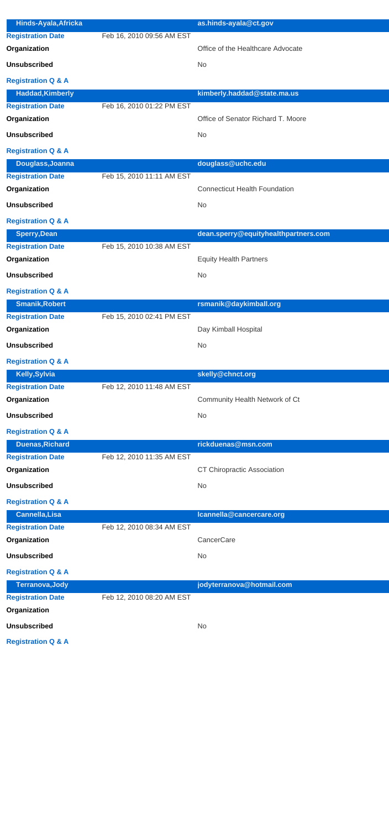| <b>Hinds-Ayala, Africka</b>   |                           | as.hinds-ayala@ct.gov                 |
|-------------------------------|---------------------------|---------------------------------------|
| <b>Registration Date</b>      | Feb 16, 2010 09:56 AM EST |                                       |
| Organization                  |                           | Office of the Healthcare Advocate     |
| <b>Unsubscribed</b>           |                           | <b>No</b>                             |
| <b>Registration Q &amp; A</b> |                           |                                       |
| <b>Haddad, Kimberly</b>       |                           | kimberly.haddad@state.ma.us           |
| <b>Registration Date</b>      | Feb 16, 2010 01:22 PM EST |                                       |
| Organization                  |                           | Office of Senator Richard T. Moore    |
| <b>Unsubscribed</b>           |                           | <b>No</b>                             |
| <b>Registration Q &amp; A</b> |                           |                                       |
| Douglass, Joanna              |                           | douglass@uchc.edu                     |
| <b>Registration Date</b>      | Feb 15, 2010 11:11 AM EST |                                       |
| Organization                  |                           | <b>Connecticut Health Foundation</b>  |
| <b>Unsubscribed</b>           |                           | <b>No</b>                             |
| <b>Registration Q &amp; A</b> |                           |                                       |
| <b>Sperry, Dean</b>           |                           | dean.sperry@equityhealthpartners.com  |
| <b>Registration Date</b>      | Feb 15, 2010 10:38 AM EST |                                       |
| Organization                  |                           | <b>Equity Health Partners</b>         |
| <b>Unsubscribed</b>           |                           | <b>No</b>                             |
| <b>Registration Q &amp; A</b> |                           |                                       |
| <b>Smanik, Robert</b>         |                           | rsmanik@daykimball.org                |
| <b>Registration Date</b>      | Feb 15, 2010 02:41 PM EST |                                       |
| Organization                  |                           | Day Kimball Hospital                  |
| <b>Unsubscribed</b>           |                           | <b>No</b>                             |
| <b>Registration Q &amp; A</b> |                           |                                       |
| Kelly, Sylvia                 |                           | skelly@chnct.org                      |
| <b>Registration Date</b>      | Feb 12, 2010 11:48 AM EST |                                       |
| Organization                  |                           | <b>Community Health Network of Ct</b> |
| <b>Unsubscribed</b>           |                           | <b>No</b>                             |
| <b>Registration Q &amp; A</b> |                           |                                       |
| <b>Duenas, Richard</b>        |                           | rickduenas@msn.com                    |
| <b>Registration Date</b>      | Feb 12, 2010 11:35 AM EST |                                       |
| Organization                  |                           | <b>CT Chiropractic Association</b>    |
| <b>Unsubscribed</b>           |                           | <b>No</b>                             |
| <b>Registration Q &amp; A</b> |                           |                                       |
| <b>Cannella, Lisa</b>         |                           | Icannella@cancercare.org              |
| <b>Registration Date</b>      | Feb 12, 2010 08:34 AM EST |                                       |
| Organization                  |                           | CancerCare                            |
| <b>Unsubscribed</b>           |                           | <b>No</b>                             |
| <b>Registration Q &amp; A</b> |                           |                                       |

| Terranova, Jody               |                           | jodyterranova@hotmail.com |
|-------------------------------|---------------------------|---------------------------|
| <b>Registration Date</b>      | Feb 12, 2010 08:20 AM EST |                           |
| Organization                  |                           |                           |
| <b>Unsubscribed</b>           |                           | <b>No</b>                 |
| <b>Registration Q &amp; A</b> |                           |                           |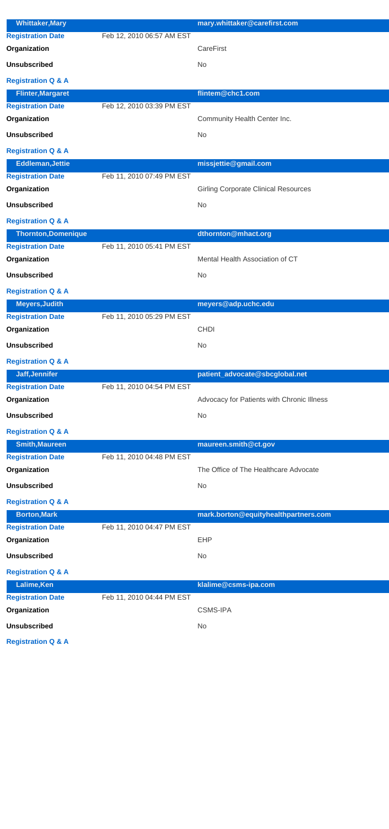| <b>Whittaker, Mary</b>        |                           | mary.whittaker@carefirst.com                |
|-------------------------------|---------------------------|---------------------------------------------|
| <b>Registration Date</b>      | Feb 12, 2010 06:57 AM EST |                                             |
| Organization                  |                           | <b>CareFirst</b>                            |
| <b>Unsubscribed</b>           |                           | <b>No</b>                                   |
|                               |                           |                                             |
| <b>Registration Q &amp; A</b> |                           |                                             |
| <b>Flinter, Margaret</b>      |                           | flintem@chc1.com                            |
| <b>Registration Date</b>      | Feb 12, 2010 03:39 PM EST |                                             |
| Organization                  |                           | Community Health Center Inc.                |
| <b>Unsubscribed</b>           |                           | <b>No</b>                                   |
| <b>Registration Q &amp; A</b> |                           |                                             |
| <b>Eddleman, Jettie</b>       |                           | missjettie@gmail.com                        |
| <b>Registration Date</b>      | Feb 11, 2010 07:49 PM EST |                                             |
| Organization                  |                           | <b>Girling Corporate Clinical Resources</b> |
| <b>Unsubscribed</b>           |                           | <b>No</b>                                   |
| <b>Registration Q &amp; A</b> |                           |                                             |
| <b>Thornton, Domenique</b>    |                           | dthornton@mhact.org                         |
| <b>Registration Date</b>      | Feb 11, 2010 05:41 PM EST |                                             |
| Organization                  |                           | Mental Health Association of CT             |
| <b>Unsubscribed</b>           |                           | <b>No</b>                                   |
| <b>Registration Q &amp; A</b> |                           |                                             |
| <b>Meyers, Judith</b>         |                           | meyers@adp.uchc.edu                         |
| <b>Registration Date</b>      | Feb 11, 2010 05:29 PM EST |                                             |
| Organization                  |                           | <b>CHDI</b>                                 |
| <b>Unsubscribed</b>           |                           | <b>No</b>                                   |
| <b>Registration Q &amp; A</b> |                           |                                             |
| Jaff, Jennifer                |                           | patient_advocate@sbcglobal.net              |
| <b>Registration Date</b>      | Feb 11, 2010 04:54 PM EST |                                             |
| Organization                  |                           | Advocacy for Patients with Chronic Illness  |
| <b>Unsubscribed</b>           |                           | <b>No</b>                                   |
| <b>Registration Q &amp; A</b> |                           |                                             |
| <b>Smith, Maureen</b>         |                           | maureen.smith@ct.gov                        |
| <b>Registration Date</b>      | Feb 11, 2010 04:48 PM EST |                                             |
| Organization                  |                           | The Office of The Healthcare Advocate       |
| <b>Unsubscribed</b>           |                           | <b>No</b>                                   |
| <b>Registration Q &amp; A</b> |                           |                                             |
| <b>Borton, Mark</b>           |                           | mark.borton@equityhealthpartners.com        |
| <b>Registration Date</b>      | Feb 11, 2010 04:47 PM EST |                                             |
| Organization                  |                           | <b>EHP</b>                                  |
| <b>Unsubscribed</b>           |                           | <b>No</b>                                   |
| <b>Registration Q &amp; A</b> |                           |                                             |

| Lalime, Ken                   |                           | klalime@csms-ipa.com |
|-------------------------------|---------------------------|----------------------|
| <b>Registration Date</b>      | Feb 11, 2010 04:44 PM EST |                      |
| Organization                  |                           | <b>CSMS-IPA</b>      |
| <b>Unsubscribed</b>           |                           | No.                  |
| <b>Registration Q &amp; A</b> |                           |                      |